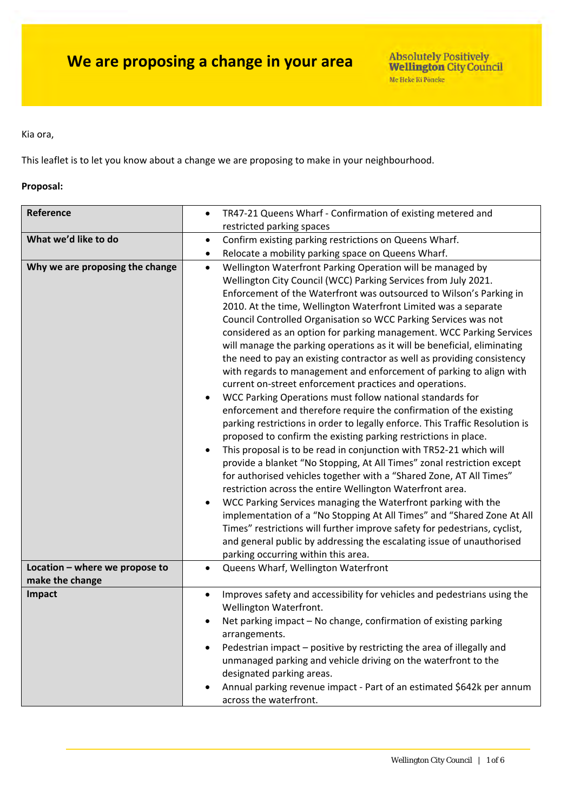#### Kia ora,

This leaflet is to let you know about a change we are proposing to make in your neighbourhood.

#### **Proposal:**

| Reference                                         | TR47-21 Queens Wharf - Confirmation of existing metered and<br>$\bullet$                                                                                                                                                                                                                                                                                                                                                                                                                                                                                                                                                                                                                                                                                                                                                                                                                                                                                                                                                                                                                                                                                                                                                                                                                                                                                                                                                                                                                                                                                                                                        |  |  |
|---------------------------------------------------|-----------------------------------------------------------------------------------------------------------------------------------------------------------------------------------------------------------------------------------------------------------------------------------------------------------------------------------------------------------------------------------------------------------------------------------------------------------------------------------------------------------------------------------------------------------------------------------------------------------------------------------------------------------------------------------------------------------------------------------------------------------------------------------------------------------------------------------------------------------------------------------------------------------------------------------------------------------------------------------------------------------------------------------------------------------------------------------------------------------------------------------------------------------------------------------------------------------------------------------------------------------------------------------------------------------------------------------------------------------------------------------------------------------------------------------------------------------------------------------------------------------------------------------------------------------------------------------------------------------------|--|--|
|                                                   | restricted parking spaces                                                                                                                                                                                                                                                                                                                                                                                                                                                                                                                                                                                                                                                                                                                                                                                                                                                                                                                                                                                                                                                                                                                                                                                                                                                                                                                                                                                                                                                                                                                                                                                       |  |  |
| What we'd like to do                              | Confirm existing parking restrictions on Queens Wharf.<br>$\bullet$                                                                                                                                                                                                                                                                                                                                                                                                                                                                                                                                                                                                                                                                                                                                                                                                                                                                                                                                                                                                                                                                                                                                                                                                                                                                                                                                                                                                                                                                                                                                             |  |  |
|                                                   | Relocate a mobility parking space on Queens Wharf.<br>$\bullet$                                                                                                                                                                                                                                                                                                                                                                                                                                                                                                                                                                                                                                                                                                                                                                                                                                                                                                                                                                                                                                                                                                                                                                                                                                                                                                                                                                                                                                                                                                                                                 |  |  |
| Why we are proposing the change                   | Wellington Waterfront Parking Operation will be managed by<br>$\bullet$<br>Wellington City Council (WCC) Parking Services from July 2021.<br>Enforcement of the Waterfront was outsourced to Wilson's Parking in<br>2010. At the time, Wellington Waterfront Limited was a separate<br>Council Controlled Organisation so WCC Parking Services was not<br>considered as an option for parking management. WCC Parking Services<br>will manage the parking operations as it will be beneficial, eliminating<br>the need to pay an existing contractor as well as providing consistency<br>with regards to management and enforcement of parking to align with<br>current on-street enforcement practices and operations.<br>WCC Parking Operations must follow national standards for<br>enforcement and therefore require the confirmation of the existing<br>parking restrictions in order to legally enforce. This Traffic Resolution is<br>proposed to confirm the existing parking restrictions in place.<br>This proposal is to be read in conjunction with TR52-21 which will<br>$\bullet$<br>provide a blanket "No Stopping, At All Times" zonal restriction except<br>for authorised vehicles together with a "Shared Zone, AT All Times"<br>restriction across the entire Wellington Waterfront area.<br>WCC Parking Services managing the Waterfront parking with the<br>implementation of a "No Stopping At All Times" and "Shared Zone At All<br>Times" restrictions will further improve safety for pedestrians, cyclist,<br>and general public by addressing the escalating issue of unauthorised |  |  |
|                                                   | parking occurring within this area.                                                                                                                                                                                                                                                                                                                                                                                                                                                                                                                                                                                                                                                                                                                                                                                                                                                                                                                                                                                                                                                                                                                                                                                                                                                                                                                                                                                                                                                                                                                                                                             |  |  |
| Location - where we propose to<br>make the change | Queens Wharf, Wellington Waterfront<br>$\bullet$                                                                                                                                                                                                                                                                                                                                                                                                                                                                                                                                                                                                                                                                                                                                                                                                                                                                                                                                                                                                                                                                                                                                                                                                                                                                                                                                                                                                                                                                                                                                                                |  |  |
| Impact                                            | Improves safety and accessibility for vehicles and pedestrians using the<br>$\bullet$<br>Wellington Waterfront.<br>Net parking impact - No change, confirmation of existing parking<br>arrangements.<br>Pedestrian impact - positive by restricting the area of illegally and<br>unmanaged parking and vehicle driving on the waterfront to the<br>designated parking areas.<br>Annual parking revenue impact - Part of an estimated \$642k per annum<br>across the waterfront.                                                                                                                                                                                                                                                                                                                                                                                                                                                                                                                                                                                                                                                                                                                                                                                                                                                                                                                                                                                                                                                                                                                                 |  |  |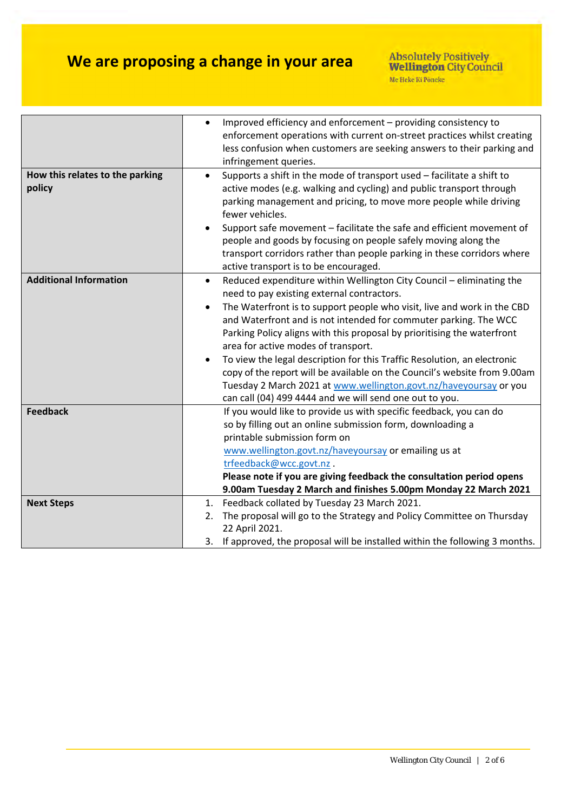|                                           | Improved efficiency and enforcement - providing consistency to<br>enforcement operations with current on-street practices whilst creating<br>less confusion when customers are seeking answers to their parking and                                                                                                                                                                                                                                                                                                |
|-------------------------------------------|--------------------------------------------------------------------------------------------------------------------------------------------------------------------------------------------------------------------------------------------------------------------------------------------------------------------------------------------------------------------------------------------------------------------------------------------------------------------------------------------------------------------|
|                                           | infringement queries.                                                                                                                                                                                                                                                                                                                                                                                                                                                                                              |
| How this relates to the parking<br>policy | Supports a shift in the mode of transport used - facilitate a shift to<br>$\bullet$<br>active modes (e.g. walking and cycling) and public transport through<br>parking management and pricing, to move more people while driving<br>fewer vehicles.<br>Support safe movement - facilitate the safe and efficient movement of<br>people and goods by focusing on people safely moving along the<br>transport corridors rather than people parking in these corridors where<br>active transport is to be encouraged. |
| <b>Additional Information</b>             | Reduced expenditure within Wellington City Council - eliminating the<br>$\bullet$                                                                                                                                                                                                                                                                                                                                                                                                                                  |
|                                           | need to pay existing external contractors.                                                                                                                                                                                                                                                                                                                                                                                                                                                                         |
|                                           | The Waterfront is to support people who visit, live and work in the CBD                                                                                                                                                                                                                                                                                                                                                                                                                                            |
|                                           | and Waterfront and is not intended for commuter parking. The WCC                                                                                                                                                                                                                                                                                                                                                                                                                                                   |
|                                           | Parking Policy aligns with this proposal by prioritising the waterfront                                                                                                                                                                                                                                                                                                                                                                                                                                            |
|                                           | area for active modes of transport.                                                                                                                                                                                                                                                                                                                                                                                                                                                                                |
|                                           | To view the legal description for this Traffic Resolution, an electronic                                                                                                                                                                                                                                                                                                                                                                                                                                           |
|                                           | copy of the report will be available on the Council's website from 9.00am                                                                                                                                                                                                                                                                                                                                                                                                                                          |
|                                           | Tuesday 2 March 2021 at www.wellington.govt.nz/haveyoursay or you                                                                                                                                                                                                                                                                                                                                                                                                                                                  |
| <b>Feedback</b>                           | can call (04) 499 4444 and we will send one out to you.<br>If you would like to provide us with specific feedback, you can do                                                                                                                                                                                                                                                                                                                                                                                      |
|                                           | so by filling out an online submission form, downloading a                                                                                                                                                                                                                                                                                                                                                                                                                                                         |
|                                           | printable submission form on                                                                                                                                                                                                                                                                                                                                                                                                                                                                                       |
|                                           | www.wellington.govt.nz/haveyoursay or emailing us at                                                                                                                                                                                                                                                                                                                                                                                                                                                               |
|                                           | trfeedback@wcc.govt.nz.                                                                                                                                                                                                                                                                                                                                                                                                                                                                                            |
|                                           | Please note if you are giving feedback the consultation period opens                                                                                                                                                                                                                                                                                                                                                                                                                                               |
|                                           | 9.00am Tuesday 2 March and finishes 5.00pm Monday 22 March 2021                                                                                                                                                                                                                                                                                                                                                                                                                                                    |
| <b>Next Steps</b>                         | 1. Feedback collated by Tuesday 23 March 2021.                                                                                                                                                                                                                                                                                                                                                                                                                                                                     |
|                                           | The proposal will go to the Strategy and Policy Committee on Thursday<br>2.                                                                                                                                                                                                                                                                                                                                                                                                                                        |
|                                           | 22 April 2021.                                                                                                                                                                                                                                                                                                                                                                                                                                                                                                     |
|                                           | 3. If approved, the proposal will be installed within the following 3 months.                                                                                                                                                                                                                                                                                                                                                                                                                                      |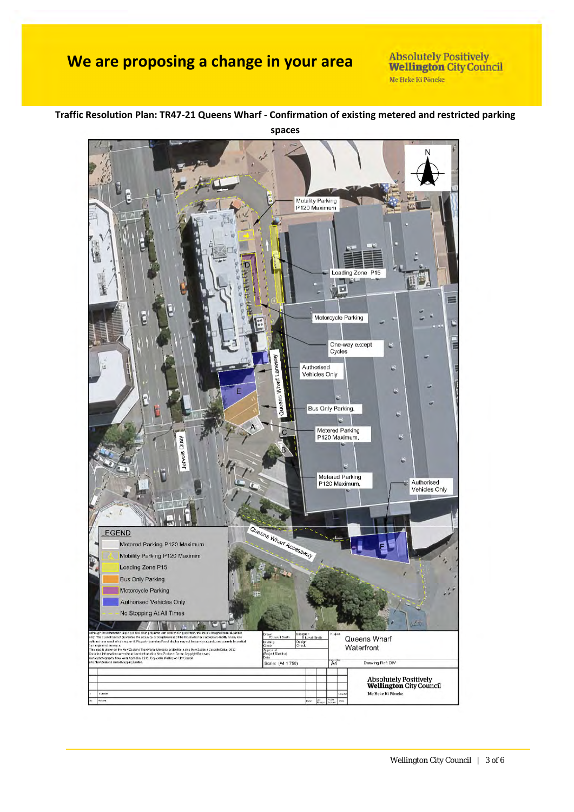**Absolutely Positively Wellington City Council** Me Heke Ki Pôneke

#### Mobility Parking<br>P120 Maximum Loading Zone P15 п  $\Box$ Ξ ļ. Motorcycle Parking One-way except Cycles Authorised<br>Vehicles Only Laik Wharf I Queens Bus Only Parking,  $\mathfrak{S}$ Metered Parking<br>P120 Maximum, Quay Metered Parking Authorised P120 Maximum. Vehicles Only  $\mathbf{r}$ Queens Whart Accessive LEGEND Metered Parking P120 Maximum Mobility Parking P120 Maximim Loading Zone P15 **Bus Only Parking** Motorcycle Parking Authorised Vehicles Only No Stopping At All Times **TELA** Dasigne<br>R.L.<br>Design<br>Chack on cepayco nes coon<br>124 guarantee the acqui<br>Imfance or it. Perundy Queens Wharf **Brill** Waterfront i mpiammi suurnyat.<br>Ining is drame on the New Zealand Transverse Mercator projection, saing New Zealan<br>Ining information surrout from Lined Information New Zostend: Open-Copyright Rasses<br>Isi drame Sealan Aeriel Mapping Umf provud<br>ojaci Diractor) Drawing Rof: DIV cale: (A4 1:750)  $\overline{A4}$ Absolutely Positively<br>**Wellington** City Council Me Heke Ki Pôneke

**Traffic Resolution Plan: TR47‐21 Queens Wharf ‐ Confirmation of existing metered and restricted parking spaces**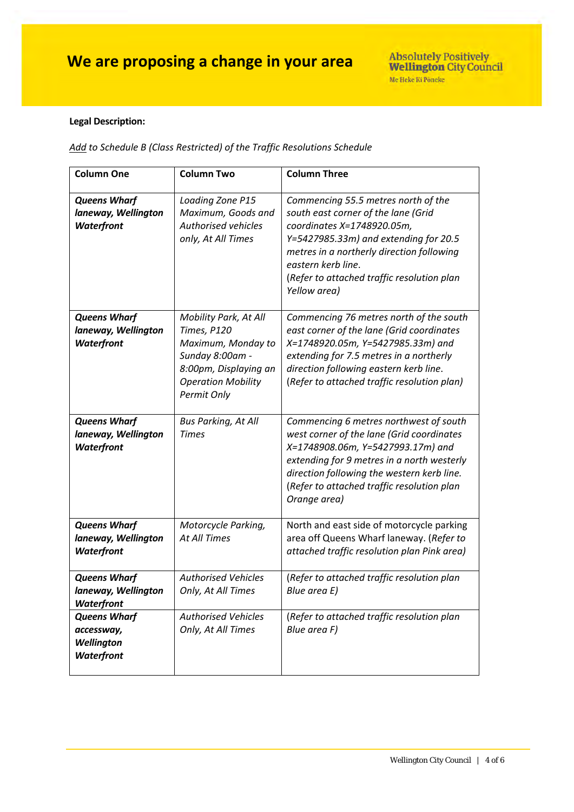#### **Legal Description:**

*Add to Schedule B (Class Restricted) of the Traffic Resolutions Schedule*

| <b>Column One</b>                                             | <b>Column Two</b>                                                                                                                                  | <b>Column Three</b>                                                                                                                                                                                                                                                                |
|---------------------------------------------------------------|----------------------------------------------------------------------------------------------------------------------------------------------------|------------------------------------------------------------------------------------------------------------------------------------------------------------------------------------------------------------------------------------------------------------------------------------|
| <b>Queens Wharf</b><br>laneway, Wellington<br>Waterfront      | Loading Zone P15<br>Maximum, Goods and<br>Authorised vehicles<br>only, At All Times                                                                | Commencing 55.5 metres north of the<br>south east corner of the lane (Grid<br>coordinates X=1748920.05m,<br>Y=5427985.33m) and extending for 20.5<br>metres in a northerly direction following<br>eastern kerb line.<br>(Refer to attached traffic resolution plan<br>Yellow area) |
| <b>Queens Wharf</b><br>laneway, Wellington<br>Waterfront      | Mobility Park, At All<br>Times, P120<br>Maximum, Monday to<br>Sunday 8:00am -<br>8:00pm, Displaying an<br><b>Operation Mobility</b><br>Permit Only | Commencing 76 metres north of the south<br>east corner of the lane (Grid coordinates<br>X=1748920.05m, Y=5427985.33m) and<br>extending for 7.5 metres in a northerly<br>direction following eastern kerb line.<br>(Refer to attached traffic resolution plan)                      |
| <b>Queens Wharf</b><br>laneway, Wellington<br>Waterfront      | <b>Bus Parking, At All</b><br><b>Times</b>                                                                                                         | Commencing 6 metres northwest of south<br>west corner of the lane (Grid coordinates<br>X=1748908.06m, Y=5427993.17m) and<br>extending for 9 metres in a north westerly<br>direction following the western kerb line.<br>(Refer to attached traffic resolution plan<br>Orange area) |
| <b>Queens Wharf</b><br>laneway, Wellington<br>Waterfront      | Motorcycle Parking,<br><b>At All Times</b>                                                                                                         | North and east side of motorcycle parking<br>area off Queens Wharf laneway. (Refer to<br>attached traffic resolution plan Pink area)                                                                                                                                               |
| <b>Queens Wharf</b><br>laneway, Wellington<br>Waterfront      | <b>Authorised Vehicles</b><br>Only, At All Times                                                                                                   | (Refer to attached traffic resolution plan<br>Blue area E)                                                                                                                                                                                                                         |
| <b>Queens Wharf</b><br>accessway,<br>Wellington<br>Waterfront | <b>Authorised Vehicles</b><br>Only, At All Times                                                                                                   | (Refer to attached traffic resolution plan<br>Blue area F)                                                                                                                                                                                                                         |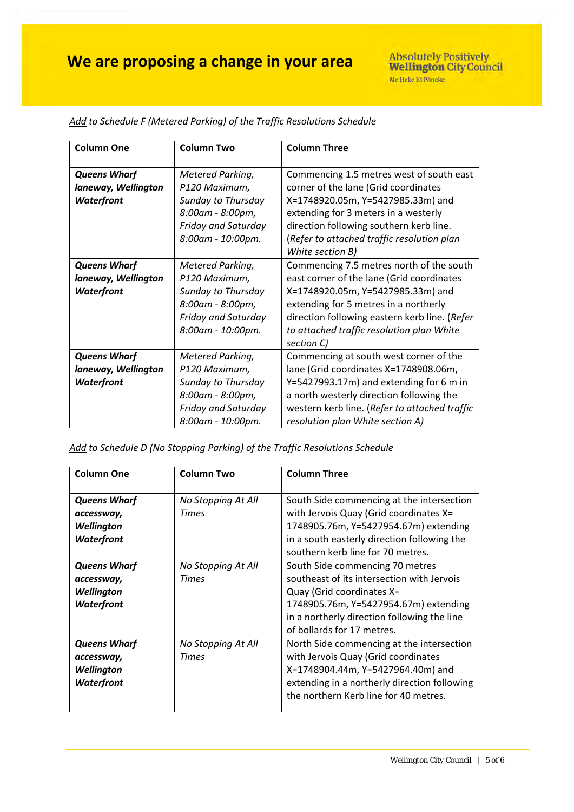| <b>Column One</b>   | <b>Column Two</b>   | <b>Column Three</b>                           |
|---------------------|---------------------|-----------------------------------------------|
| <b>Queens Wharf</b> | Metered Parking,    | Commencing 1.5 metres west of south east      |
| laneway, Wellington | P120 Maximum,       | corner of the lane (Grid coordinates          |
| Waterfront          | Sunday to Thursday  | X=1748920.05m, Y=5427985.33m) and             |
|                     | 8:00am - 8:00pm,    | extending for 3 meters in a westerly          |
|                     | Friday and Saturday | direction following southern kerb line.       |
|                     | 8:00am - 10:00pm.   | (Refer to attached traffic resolution plan    |
|                     |                     | White section B)                              |
| <b>Queens Wharf</b> | Metered Parking,    | Commencing 7.5 metres north of the south      |
| laneway, Wellington | P120 Maximum,       | east corner of the lane (Grid coordinates     |
| Waterfront          | Sunday to Thursday  | X=1748920.05m, Y=5427985.33m) and             |
|                     | 8:00am - 8:00pm,    | extending for 5 metres in a northerly         |
|                     | Friday and Saturday | direction following eastern kerb line. (Refer |
|                     | 8:00am - 10:00pm.   | to attached traffic resolution plan White     |
|                     |                     | section C)                                    |
| <b>Queens Wharf</b> | Metered Parking,    | Commencing at south west corner of the        |
| laneway, Wellington | P120 Maximum,       | lane (Grid coordinates X=1748908.06m,         |
| Waterfront          | Sunday to Thursday  | $Y=5427993.17m$ ) and extending for 6 m in    |
|                     | 8:00am - 8:00pm,    | a north westerly direction following the      |
|                     | Friday and Saturday | western kerb line. (Refer to attached traffic |
|                     | 8:00am - 10:00pm.   | resolution plan White section A)              |

*Add to Schedule F (Metered Parking) of the Traffic Resolutions Schedule*

*Add to Schedule D (No Stopping Parking) of the Traffic Resolutions Schedule*

| <b>Column One</b>                                                           | <b>Column Two</b>                  | <b>Column Three</b>                                                                                                                                                                                                              |
|-----------------------------------------------------------------------------|------------------------------------|----------------------------------------------------------------------------------------------------------------------------------------------------------------------------------------------------------------------------------|
| <b>Queens Wharf</b><br>accessway,<br>Wellington<br><b>Waterfront</b>        | No Stopping At All<br><b>Times</b> | South Side commencing at the intersection<br>with Jervois Quay (Grid coordinates X=<br>1748905.76m, Y=5427954.67m) extending<br>in a south easterly direction following the<br>southern kerb line for 70 metres.                 |
| <b>Queens Wharf</b><br>accessway,<br><b>Wellington</b><br><b>Waterfront</b> | No Stopping At All<br><b>Times</b> | South Side commencing 70 metres<br>southeast of its intersection with Jervois<br>Quay (Grid coordinates X=<br>1748905.76m, Y=5427954.67m) extending<br>in a northerly direction following the line<br>of bollards for 17 metres. |
| <b>Queens Wharf</b><br>accessway,<br>Wellington<br><b>Waterfront</b>        | No Stopping At All<br><b>Times</b> | North Side commencing at the intersection<br>with Jervois Quay (Grid coordinates<br>X=1748904.44m, Y=5427964.40m) and<br>extending in a northerly direction following<br>the northern Kerb line for 40 metres.                   |